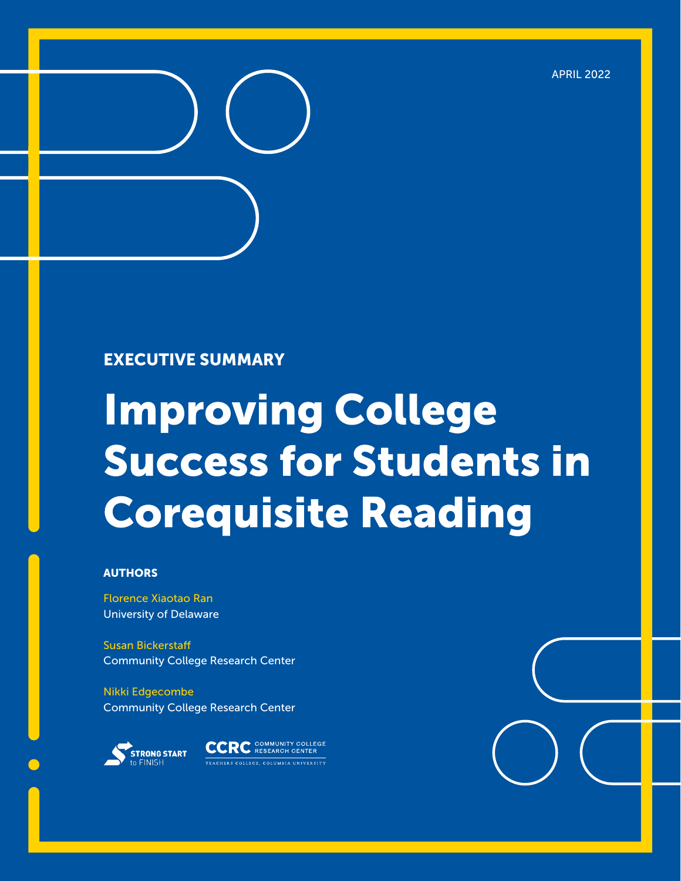

#### EXECUTIVE SUMMARY

# **Improving College Success for Students in Corequisite Reading**

#### AUTHORS

Florence Xiaotao Ran University of Delaware

Susan Bickerstaff Community College Research Center

Nikki Edgecombe Community College Research Center



**CCRC** COMMUNITY COLLEGE **ERS COLLEGE COLUMBIA UNIVERSITY**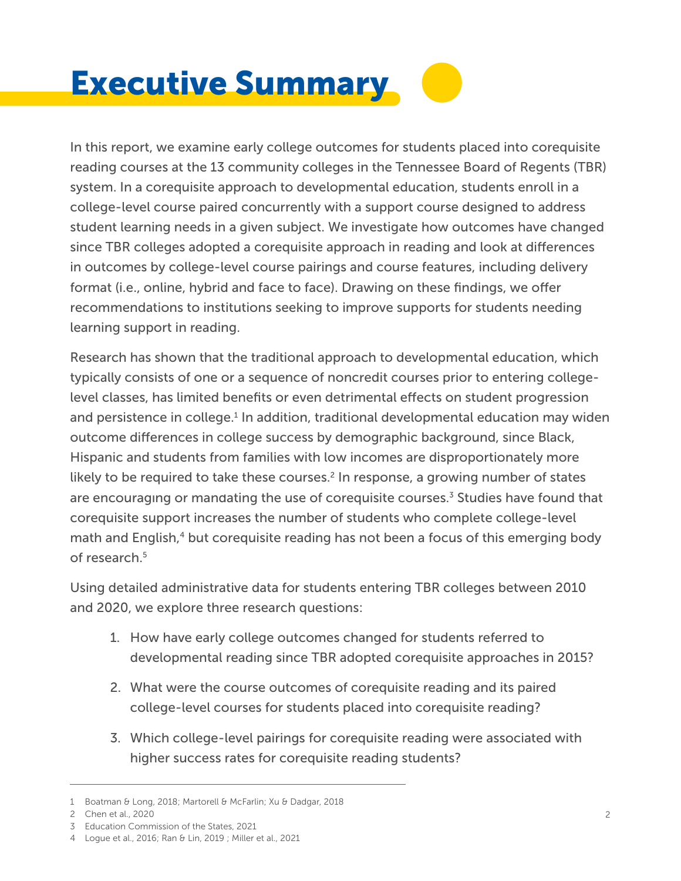## Executive Summary

In this report, we examine early college outcomes for students placed into corequisite reading courses at the 13 community colleges in the Tennessee Board of Regents (TBR) system. In a corequisite approach to developmental education, students enroll in a college-level course paired concurrently with a support course designed to address student learning needs in a given subject. We investigate how outcomes have changed since TBR colleges adopted a corequisite approach in reading and look at differences in outcomes by college-level course pairings and course features, including delivery format (i.e., online, hybrid and face to face). Drawing on these findings, we offer recommendations to institutions seeking to improve supports for students needing learning support in reading.

Research has shown that the traditional approach to developmental education, which typically consists of one or a sequence of noncredit courses prior to entering collegelevel classes, has limited benefits or even detrimental effects on student progression and persistence in college.<sup>1</sup> In addition, traditional developmental education may widen outcome differences in college success by demographic background, since Black, Hispanic and students from families with low incomes are disproportionately more likely to be required to take these courses.<sup>2</sup> In response, a growing number of states are encouraging or mandating the use of corequisite courses.<sup>3</sup> Studies have found that corequisite support increases the number of students who complete college-level math and English,<sup>4</sup> but corequisite reading has not been a focus of this emerging body of research.<sup>5</sup>

Using detailed administrative data for students entering TBR colleges between 2010 and 2020, we explore three research questions:

- 1. How have early college outcomes changed for students referred to developmental reading since TBR adopted corequisite approaches in 2015?
- 2. What were the course outcomes of corequisite reading and its paired college-level courses for students placed into corequisite reading?
- 3. Which college-level pairings for corequisite reading were associated with higher success rates for corequisite reading students?

<sup>1</sup> Boatman & Long, 2018; Martorell & McFarlin; Xu & Dadgar, 2018

Chen et al., 2020 2

Education Commission of the States, 2021 3

Logue et al., 2016; Ran & Lin, 2019 ; Miller et al., 2021 4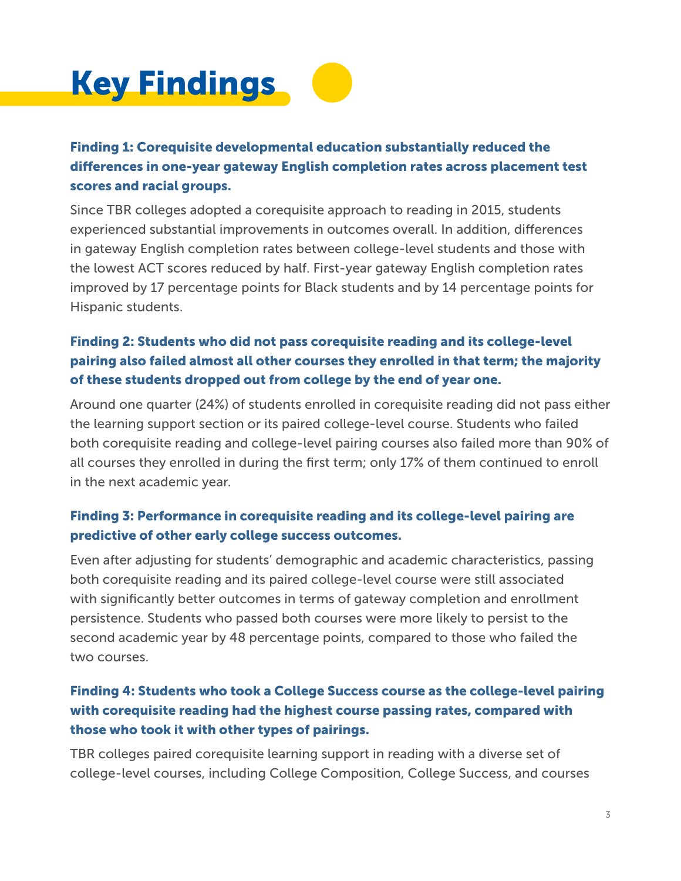

#### Finding 1: Corequisite developmental education substantially reduced the differences in one-year gateway English completion rates across placement test scores and racial groups.

Since TBR colleges adopted a corequisite approach to reading in 2015, students experienced substantial improvements in outcomes overall. In addition, differences in gateway English completion rates between college-level students and those with the lowest ACT scores reduced by half. First-year gateway English completion rates improved by 17 percentage points for Black students and by 14 percentage points for Hispanic students.

#### Finding 2: Students who did not pass corequisite reading and its college-level pairing also failed almost all other courses they enrolled in that term; the majority of these students dropped out from college by the end of year one.

Around one quarter (24%) of students enrolled in corequisite reading did not pass either the learning support section or its paired college-level course. Students who failed both corequisite reading and college-level pairing courses also failed more than 90% of all courses they enrolled in during the first term; only 17% of them continued to enroll in the next academic year.

#### Finding 3: Performance in corequisite reading and its college-level pairing are predictive of other early college success outcomes.

Even after adjusting for students' demographic and academic characteristics, passing both corequisite reading and its paired college-level course were still associated with significantly better outcomes in terms of gateway completion and enrollment persistence. Students who passed both courses were more likely to persist to the second academic year by 48 percentage points, compared to those who failed the two courses.

#### Finding 4: Students who took a College Success course as the college-level pairing with corequisite reading had the highest course passing rates, compared with those who took it with other types of pairings.

TBR colleges paired corequisite learning support in reading with a diverse set of college-level courses, including College Composition, College Success, and courses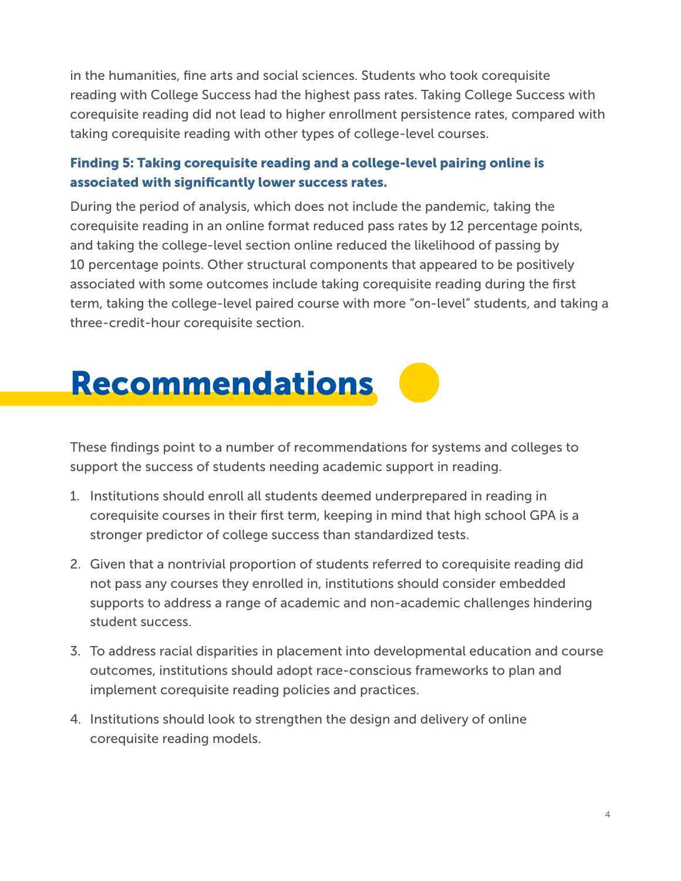in the humanities, fine arts and social sciences. Students who took corequisite reading with College Success had the highest pass rates. Taking College Success with corequisite reading did not lead to higher enrollment persistence rates, compared with taking corequisite reading with other types of college-level courses.

#### Finding 5: Taking corequisite reading and a college-level pairing online is associated with significantly lower success rates.

During the period of analysis, which does not include the pandemic, taking the corequisite reading in an online format reduced pass rates by 12 percentage points, and taking the college-level section online reduced the likelihood of passing by 10 percentage points. Other structural components that appeared to be positively associated with some outcomes include taking corequisite reading during the first term, taking the college-level paired course with more "on-level" students, and taking a three-credit-hour corequisite section.

### Recommendations

These findings point to a number of recommendations for systems and colleges to support the success of students needing academic support in reading.

- 1. Institutions should enroll all students deemed underprepared in reading in corequisite courses in their first term, keeping in mind that high school GPA is a stronger predictor of college success than standardized tests.
- 2. Given that a nontrivial proportion of students referred to corequisite reading did not pass any courses they enrolled in, institutions should consider embedded supports to address a range of academic and non-academic challenges hindering student success.
- 3. To address racial disparities in placement into developmental education and course outcomes, institutions should adopt race-conscious frameworks to plan and implement corequisite reading policies and practices.
- 4. Institutions should look to strengthen the design and delivery of online corequisite reading models.